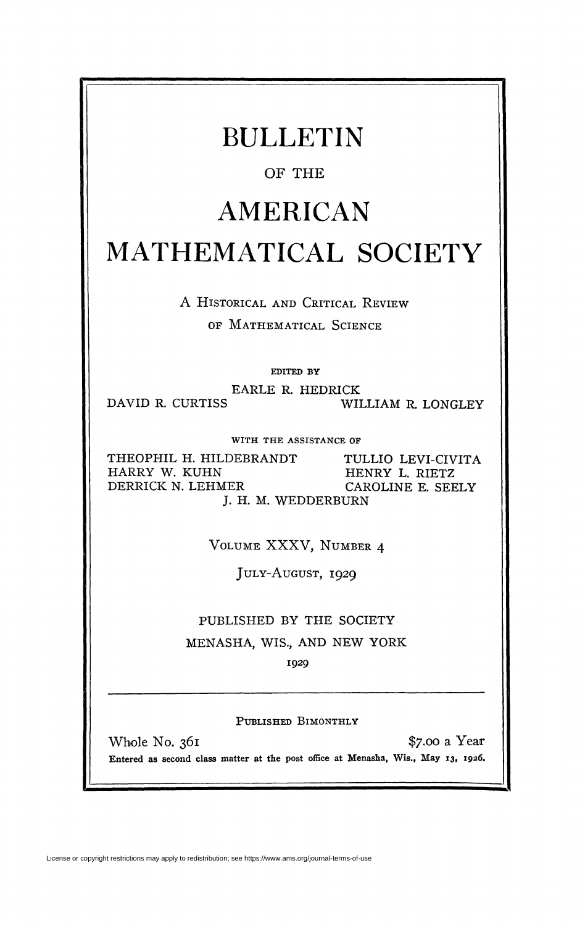| <b>BULLETIN</b>                                                                      |                                                           |
|--------------------------------------------------------------------------------------|-----------------------------------------------------------|
| OF THE                                                                               |                                                           |
| AMERICAN                                                                             |                                                           |
| MATHEMATICAL SOCIETY                                                                 |                                                           |
| A HISTORICAL AND CRITICAL REVIEW                                                     |                                                           |
| OF MATHEMATICAL SCIENCE                                                              |                                                           |
| EDITED BY                                                                            |                                                           |
| EARLE R. HEDRICK                                                                     |                                                           |
| DAVID R. CURTISS                                                                     | WILLIAM R. LONGLEY                                        |
| WITH THE ASSISTANCE OF                                                               |                                                           |
| THEOPHIL H. HILDEBRANDT<br>HARRY W. KUHN<br>DERRICK N. LEHMER<br>J. H. M. WEDDERBURN | TULLIO LEVI-CIVITA<br>HENRY L. RIETZ<br>CAROLINE E. SEELY |
|                                                                                      |                                                           |
| VOLUME XXXV, NUMBER 4                                                                |                                                           |
| JULY-AUGUST, 1929                                                                    |                                                           |
| PUBLISHED BY THE SOCIETY                                                             |                                                           |
| MENASHA, WIS., AND NEW YORK                                                          |                                                           |
|                                                                                      |                                                           |
| 1929                                                                                 |                                                           |
|                                                                                      |                                                           |

**PUBLISHED BIMONTHLY** 

Whole No. 361 \$7.00 a Year Entered as second class matter at the post office at Menasha, Wis., May 13, 1926.